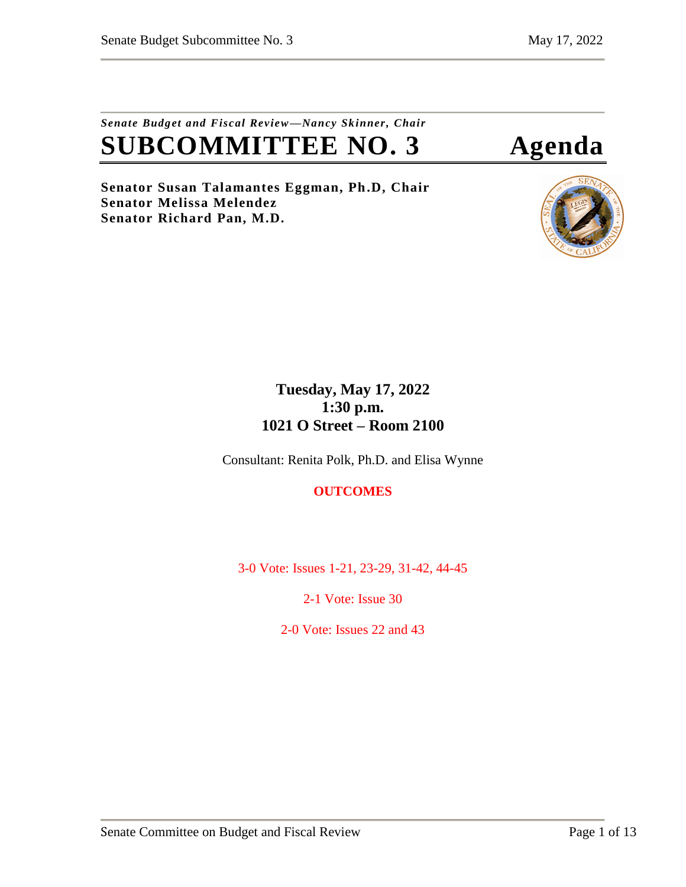## *Senate Budget and Fiscal Review—Nancy Skinner, Chair* **SUBCOMMITTEE NO. 3 Agenda**

**Senator Susan Talamantes Eggman, Ph.D, Chair Senator Melissa Melendez Senator Richard Pan, M.D.**



## **Tuesday, May 17, 2022 1:30 p.m. 1021 O Street – Room 2100**

Consultant: Renita Polk, Ph.D. and Elisa Wynne

## **OUTCOMES**

3-0 Vote: Issues 1-21, 23-29, 31-42, 44-45

2-1 Vote: Issue 30

2-0 Vote: Issues 22 and 43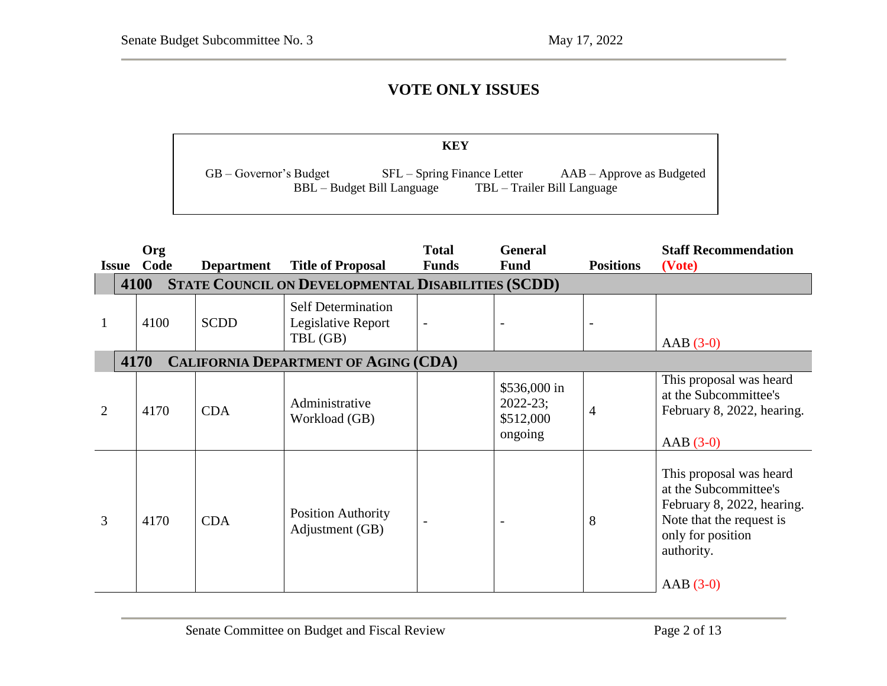## **VOTE ONLY ISSUES**

|                            | KEY                                                       |                                                            |
|----------------------------|-----------------------------------------------------------|------------------------------------------------------------|
| $GB - Government's Budget$ | $SFL-Spring Finance Letter$<br>BBL – Budget Bill Language | $AAB - Approve$ as Budgeted<br>TBL – Trailer Bill Language |

 $\overline{\phantom{a}}$  – Governor's Budget SFL – Spring Finance Letter May Revision  $\overline{\phantom{a}}$ 

| <b>Issue</b>   | Org<br>Code                                                       | <b>Department</b> | <b>Title of Proposal</b>                                    | <b>Total</b><br><b>Funds</b> | <b>General</b><br><b>Fund</b>                        | <b>Positions</b> | <b>Staff Recommendation</b><br>(Vote)                                                                                                                       |  |  |  |  |
|----------------|-------------------------------------------------------------------|-------------------|-------------------------------------------------------------|------------------------------|------------------------------------------------------|------------------|-------------------------------------------------------------------------------------------------------------------------------------------------------------|--|--|--|--|
|                | 4100<br><b>STATE COUNCIL ON DEVELOPMENTAL DISABILITIES (SCDD)</b> |                   |                                                             |                              |                                                      |                  |                                                                                                                                                             |  |  |  |  |
|                | 4100                                                              | <b>SCDD</b>       | <b>Self Determination</b><br>Legislative Report<br>TBL (GB) | $\overline{a}$               |                                                      |                  | $AAB(3-0)$                                                                                                                                                  |  |  |  |  |
|                | 4170                                                              |                   | <b>CALIFORNIA DEPARTMENT OF AGING (CDA)</b>                 |                              |                                                      |                  |                                                                                                                                                             |  |  |  |  |
| $\overline{2}$ | 4170                                                              | <b>CDA</b>        | Administrative<br>Workload (GB)                             |                              | \$536,000 in<br>$2022 - 23;$<br>\$512,000<br>ongoing | 4                | This proposal was heard<br>at the Subcommittee's<br>February 8, 2022, hearing.<br>$AAB(3-0)$                                                                |  |  |  |  |
| 3              | 4170                                                              | <b>CDA</b>        | <b>Position Authority</b><br>Adjustment (GB)                |                              |                                                      | 8                | This proposal was heard<br>at the Subcommittee's<br>February 8, 2022, hearing.<br>Note that the request is<br>only for position<br>authority.<br>$AAB(3-0)$ |  |  |  |  |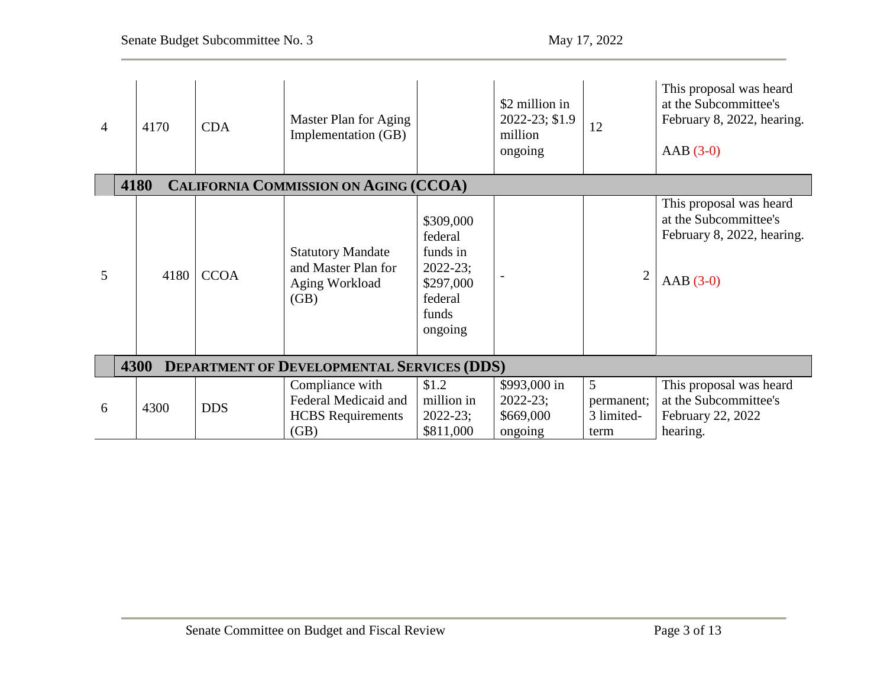| $\overline{4}$ |                                                      | 4170 | <b>CDA</b>  | Master Plan for Aging<br>Implementation (GB)                                |                                                                                              | \$2 million in<br>2022-23; \$1.9<br>million<br>ongoing | 12                                    | This proposal was heard<br>at the Subcommittee's<br>February 8, 2022, hearing.<br>$AAB(3-0)$ |  |  |
|----------------|------------------------------------------------------|------|-------------|-----------------------------------------------------------------------------|----------------------------------------------------------------------------------------------|--------------------------------------------------------|---------------------------------------|----------------------------------------------------------------------------------------------|--|--|
|                | 4180<br><b>CALIFORNIA COMMISSION ON AGING (CCOA)</b> |      |             |                                                                             |                                                                                              |                                                        |                                       |                                                                                              |  |  |
| 5              |                                                      | 4180 | <b>CCOA</b> | <b>Statutory Mandate</b><br>and Master Plan for<br>Aging Workload<br>(GB)   | \$309,000<br>federal<br>funds in<br>$2022 - 23;$<br>\$297,000<br>federal<br>funds<br>ongoing |                                                        | $\overline{2}$                        | This proposal was heard<br>at the Subcommittee's<br>February 8, 2022, hearing.<br>$AAB(3-0)$ |  |  |
|                |                                                      | 4300 |             | <b>DEPARTMENT OF DEVELOPMENTAL SERVICES (DDS)</b>                           |                                                                                              |                                                        |                                       |                                                                                              |  |  |
| 6              |                                                      | 4300 | <b>DDS</b>  | Compliance with<br>Federal Medicaid and<br><b>HCBS</b> Requirements<br>(GB) | \$1.2<br>million in<br>$2022 - 23;$<br>\$811,000                                             | \$993,000 in<br>$2022 - 23;$<br>\$669,000<br>ongoing   | 5<br>permanent;<br>3 limited-<br>term | This proposal was heard<br>at the Subcommittee's<br>February 22, 2022<br>hearing.            |  |  |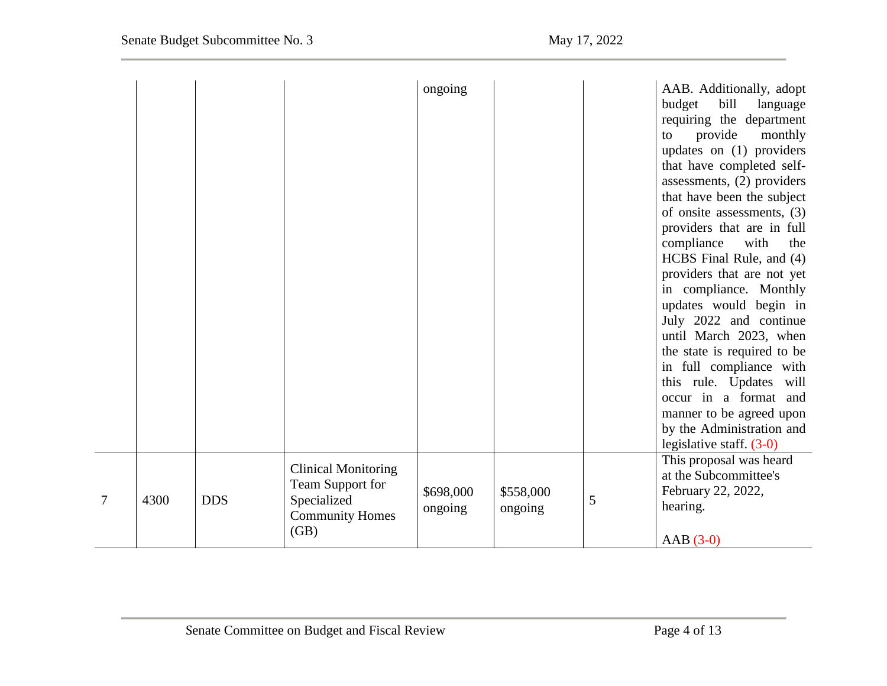$\overline{\phantom{0}}$ 

|   |      |            |                                                                                                 | ongoing              |                      |   | AAB. Additionally, adopt<br>budget<br>bill<br>language<br>requiring the department<br>provide<br>monthly<br>to<br>updates on (1) providers<br>that have completed self-<br>assessments, (2) providers<br>that have been the subject<br>of onsite assessments, (3)<br>providers that are in full<br>compliance<br>with<br>the<br>HCBS Final Rule, and (4)<br>providers that are not yet<br>in compliance. Monthly<br>updates would begin in<br>July 2022 and continue<br>until March 2023, when<br>the state is required to be<br>in full compliance with<br>this rule. Updates will<br>occur in a format and<br>manner to be agreed upon<br>by the Administration and<br>legislative staff. $(3-0)$ |
|---|------|------------|-------------------------------------------------------------------------------------------------|----------------------|----------------------|---|-----------------------------------------------------------------------------------------------------------------------------------------------------------------------------------------------------------------------------------------------------------------------------------------------------------------------------------------------------------------------------------------------------------------------------------------------------------------------------------------------------------------------------------------------------------------------------------------------------------------------------------------------------------------------------------------------------|
| 7 | 4300 | <b>DDS</b> | <b>Clinical Monitoring</b><br>Team Support for<br>Specialized<br><b>Community Homes</b><br>(GB) | \$698,000<br>ongoing | \$558,000<br>ongoing | 5 | This proposal was heard<br>at the Subcommittee's<br>February 22, 2022,<br>hearing.<br>$AAB(3-0)$                                                                                                                                                                                                                                                                                                                                                                                                                                                                                                                                                                                                    |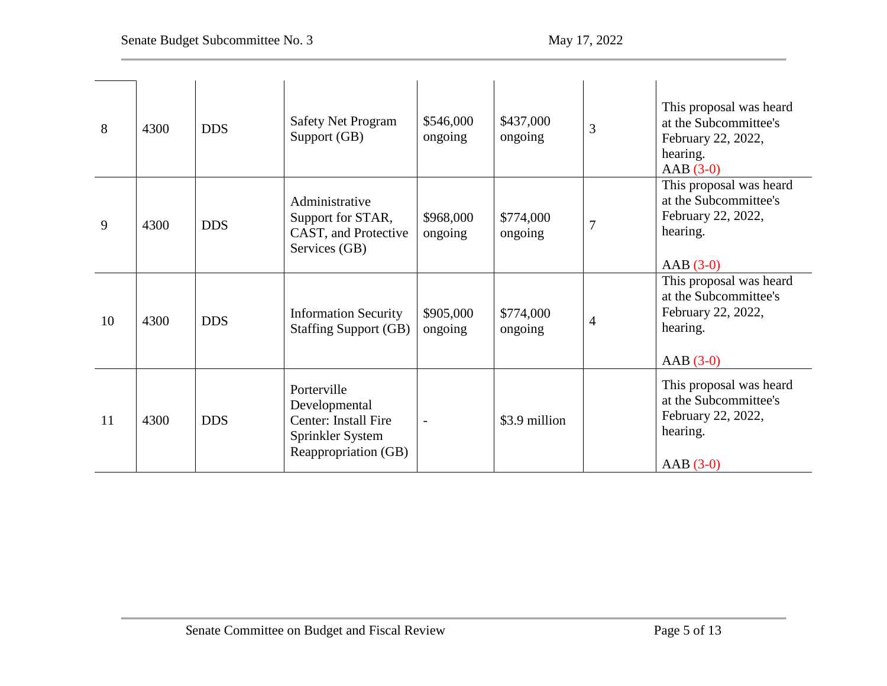| 8  | 4300 | <b>DDS</b> | <b>Safety Net Program</b><br>Support (GB)                                                        | \$546,000<br>ongoing | \$437,000<br>ongoing | 3              | This proposal was heard<br>at the Subcommittee's<br>February 22, 2022,<br>hearing.<br>$AAB(3-0)$ |
|----|------|------------|--------------------------------------------------------------------------------------------------|----------------------|----------------------|----------------|--------------------------------------------------------------------------------------------------|
| 9  | 4300 | <b>DDS</b> | Administrative<br>Support for STAR,<br>CAST, and Protective<br>Services (GB)                     | \$968,000<br>ongoing | \$774,000<br>ongoing | $\overline{7}$ | This proposal was heard<br>at the Subcommittee's<br>February 22, 2022,<br>hearing.<br>$AAB(3-0)$ |
| 10 | 4300 | <b>DDS</b> | <b>Information Security</b><br><b>Staffing Support (GB)</b>                                      | \$905,000<br>ongoing | \$774,000<br>ongoing | 4              | This proposal was heard<br>at the Subcommittee's<br>February 22, 2022,<br>hearing.<br>$AAB(3-0)$ |
| 11 | 4300 | <b>DDS</b> | Porterville<br>Developmental<br>Center: Install Fire<br>Sprinkler System<br>Reappropriation (GB) |                      | \$3.9 million        |                | This proposal was heard<br>at the Subcommittee's<br>February 22, 2022,<br>hearing.<br>$AAB(3-0)$ |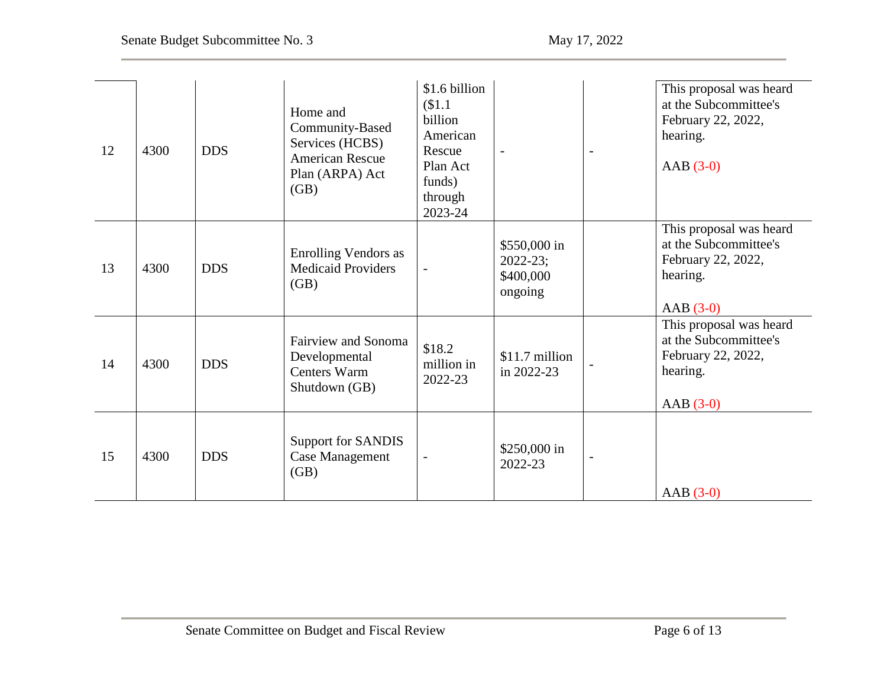| 12 | 4300 | <b>DDS</b> | Home and<br>Community-Based<br>Services (HCBS)<br><b>American Rescue</b><br>Plan (ARPA) Act<br>(GB) | \$1.6 billion<br>\$1.1<br>billion<br>American<br>Rescue<br>Plan Act<br>funds)<br>through<br>2023-24 | $\overline{\phantom{a}}$                             | $\overline{\phantom{a}}$ | This proposal was heard<br>at the Subcommittee's<br>February 22, 2022,<br>hearing.<br>$AAB(3-0)$  |
|----|------|------------|-----------------------------------------------------------------------------------------------------|-----------------------------------------------------------------------------------------------------|------------------------------------------------------|--------------------------|---------------------------------------------------------------------------------------------------|
| 13 | 4300 | <b>DDS</b> | <b>Enrolling Vendors as</b><br><b>Medicaid Providers</b><br>(GB)                                    | $\overline{\phantom{a}}$                                                                            | \$550,000 in<br>$2022 - 23;$<br>\$400,000<br>ongoing |                          | This proposal was heard<br>at the Subcommittee's<br>February 22, 2022,<br>hearing.<br>$AAB(3-0)$  |
| 14 | 4300 | <b>DDS</b> | <b>Fairview and Sonoma</b><br>Developmental<br><b>Centers Warm</b><br>Shutdown (GB)                 | \$18.2<br>million in<br>2022-23                                                                     | \$11.7 million<br>in 2022-23                         |                          | This proposal was heard<br>at the Subcommittee's<br>February 22, 2022,<br>hearing.<br>AAB $(3-0)$ |
| 15 | 4300 | <b>DDS</b> | <b>Support for SANDIS</b><br>Case Management<br>(GB)                                                | $\overline{\phantom{a}}$                                                                            | \$250,000 in<br>2022-23                              | $\overline{a}$           | $AAB(3-0)$                                                                                        |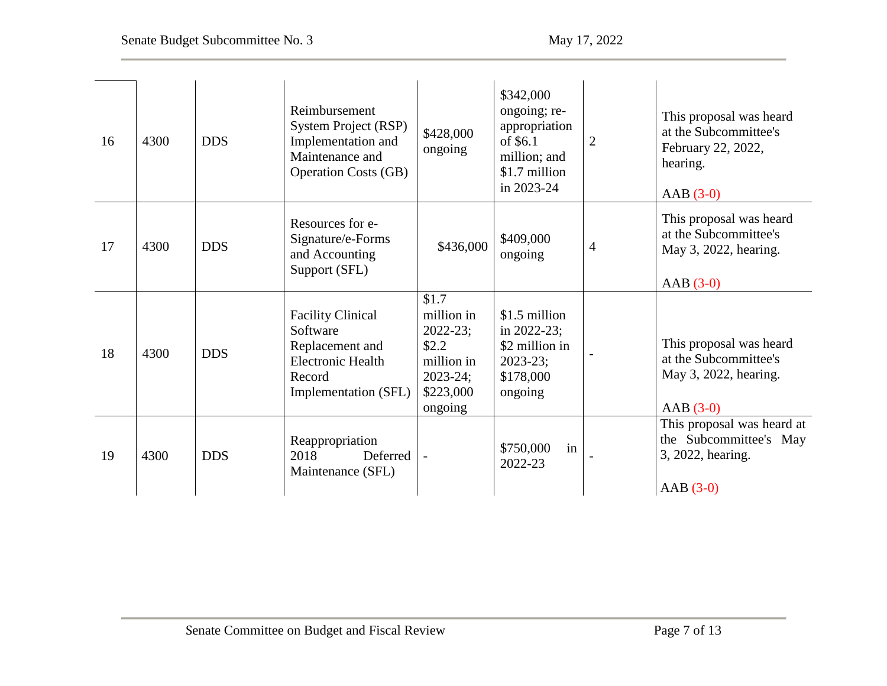| 16 | 4300 | <b>DDS</b> | Reimbursement<br><b>System Project (RSP)</b><br>Implementation and<br>Maintenance and<br><b>Operation Costs (GB)</b>  | \$428,000<br>ongoing                                                                               | \$342,000<br>ongoing; re-<br>appropriation<br>of \$6.1<br>million; and<br>\$1.7 million<br>in 2023-24 | 2              | This proposal was heard<br>at the Subcommittee's<br>February 22, 2022,<br>hearing.<br>$AAB(3-0)$ |
|----|------|------------|-----------------------------------------------------------------------------------------------------------------------|----------------------------------------------------------------------------------------------------|-------------------------------------------------------------------------------------------------------|----------------|--------------------------------------------------------------------------------------------------|
| 17 | 4300 | <b>DDS</b> | Resources for e-<br>Signature/e-Forms<br>and Accounting<br>Support (SFL)                                              | \$436,000                                                                                          | \$409,000<br>ongoing                                                                                  | $\overline{4}$ | This proposal was heard<br>at the Subcommittee's<br>May 3, 2022, hearing.<br>$AAB(3-0)$          |
| 18 | 4300 | <b>DDS</b> | <b>Facility Clinical</b><br>Software<br>Replacement and<br><b>Electronic Health</b><br>Record<br>Implementation (SFL) | \$1.7<br>million in<br>$2022 - 23;$<br>\$2.2<br>million in<br>$2023 - 24;$<br>\$223,000<br>ongoing | \$1.5 million<br>in 2022-23;<br>\$2 million in<br>$2023 - 23;$<br>\$178,000<br>ongoing                |                | This proposal was heard<br>at the Subcommittee's<br>May 3, 2022, hearing.<br>$AAB(3-0)$          |
| 19 | 4300 | <b>DDS</b> | Reappropriation<br>2018<br>Deferred<br>Maintenance (SFL)                                                              |                                                                                                    | \$750,000<br>in<br>2022-23                                                                            |                | This proposal was heard at<br>the Subcommittee's May<br>3, 2022, hearing.<br>$AAB(3-0)$          |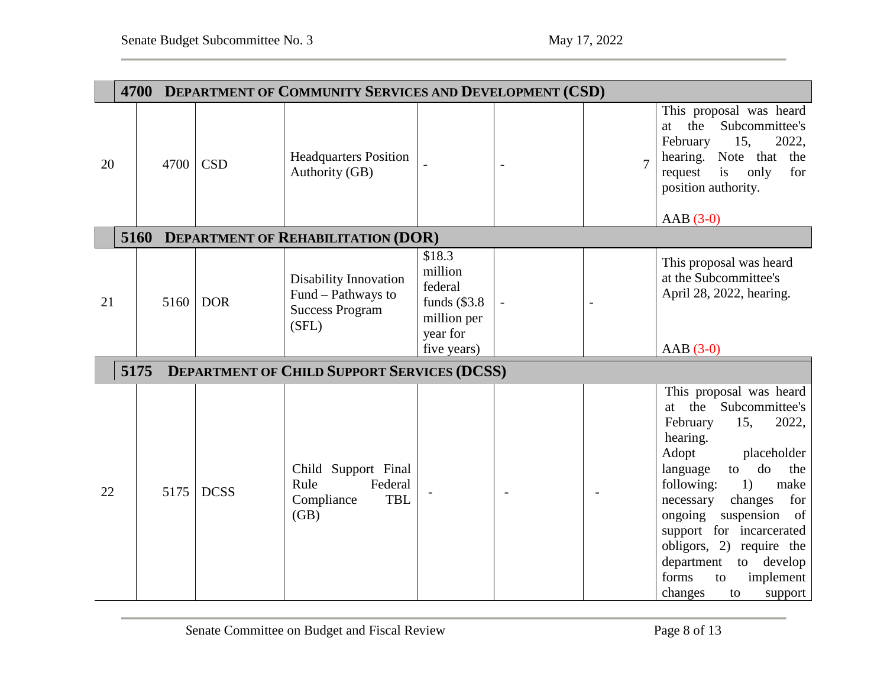|    |      |      | 4700 DEPARTMENT OF COMMUNITY SERVICES AND DEVELOPMENT (CSD) |                                                                                       |                                                                           |  |                |                                                                                                                                                                                                                                                                                                                                                                                    |  |  |  |
|----|------|------|-------------------------------------------------------------|---------------------------------------------------------------------------------------|---------------------------------------------------------------------------|--|----------------|------------------------------------------------------------------------------------------------------------------------------------------------------------------------------------------------------------------------------------------------------------------------------------------------------------------------------------------------------------------------------------|--|--|--|
| 20 |      | 4700 | <b>CSD</b>                                                  | <b>Headquarters Position</b><br>Authority (GB)                                        |                                                                           |  | $\overline{7}$ | This proposal was heard<br>the<br>Subcommittee's<br>at<br>February<br>2022,<br>15,<br>hearing. Note that the<br>request<br>is<br>only<br>for<br>position authority.<br>$AAB(3-0)$                                                                                                                                                                                                  |  |  |  |
|    |      |      |                                                             | 5160 DEPARTMENT OF REHABILITATION (DOR)                                               |                                                                           |  |                |                                                                                                                                                                                                                                                                                                                                                                                    |  |  |  |
| 21 |      | 5160 | <b>DOR</b>                                                  | <b>Disability Innovation</b><br>Fund – Pathways to<br><b>Success Program</b><br>(SFL) | \$18.3<br>million<br>federal<br>funds $(\$3.8$<br>million per<br>year for |  |                | This proposal was heard<br>at the Subcommittee's<br>April 28, 2022, hearing.                                                                                                                                                                                                                                                                                                       |  |  |  |
|    |      |      |                                                             |                                                                                       | five years)                                                               |  |                | $AAB(3-0)$                                                                                                                                                                                                                                                                                                                                                                         |  |  |  |
|    | 5175 |      |                                                             | <b>DEPARTMENT OF CHILD SUPPORT SERVICES (DCSS)</b>                                    |                                                                           |  |                |                                                                                                                                                                                                                                                                                                                                                                                    |  |  |  |
| 22 |      | 5175 | <b>DCSS</b>                                                 | Child Support Final<br>Federal<br>Rule<br>Compliance<br><b>TBL</b><br>(GB)            |                                                                           |  |                | This proposal was heard<br>at the Subcommittee's<br>February<br>2022,<br>15,<br>hearing.<br>Adopt<br>placeholder<br>do<br>language<br>the<br>to<br>1)<br>following:<br>make<br>for<br>necessary<br>changes<br>suspension of<br>ongoing<br>support for incarcerated<br>obligors, 2) require the<br>department<br>to develop<br>forms<br>implement<br>to<br>changes<br>to<br>support |  |  |  |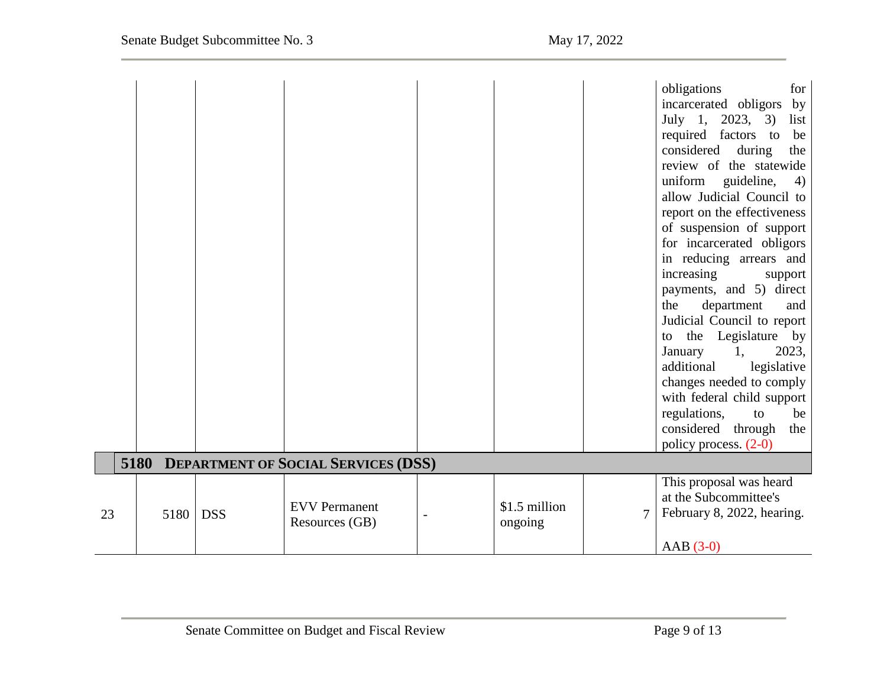|    |      |            |                                          |                          |   | obligations<br>for<br>incarcerated obligors<br>by<br>July 1, 2023, 3)<br>list<br>required factors to<br>be<br>considered<br>during<br>the<br>review of the statewide<br>guideline,<br>uniform<br>4)<br>allow Judicial Council to<br>report on the effectiveness<br>of suspension of support<br>for incarcerated obligors<br>in reducing arrears and<br>increasing<br>support<br>payments, and 5) direct<br>department<br>the<br>and<br>Judicial Council to report<br>the Legislature by<br>to<br>2023,<br>1,<br>January<br>additional<br>legislative<br>changes needed to comply<br>with federal child support<br>regulations,<br>to<br>be<br>considered through<br>the<br>policy process. (2-0) |
|----|------|------------|------------------------------------------|--------------------------|---|--------------------------------------------------------------------------------------------------------------------------------------------------------------------------------------------------------------------------------------------------------------------------------------------------------------------------------------------------------------------------------------------------------------------------------------------------------------------------------------------------------------------------------------------------------------------------------------------------------------------------------------------------------------------------------------------------|
|    |      |            | 5180 DEPARTMENT OF SOCIAL SERVICES (DSS) |                          |   |                                                                                                                                                                                                                                                                                                                                                                                                                                                                                                                                                                                                                                                                                                  |
| 23 | 5180 | <b>DSS</b> | <b>EVV</b> Permanent<br>Resources (GB)   | \$1.5 million<br>ongoing | 7 | This proposal was heard<br>at the Subcommittee's<br>February 8, 2022, hearing.<br>$AAB(3-0)$                                                                                                                                                                                                                                                                                                                                                                                                                                                                                                                                                                                                     |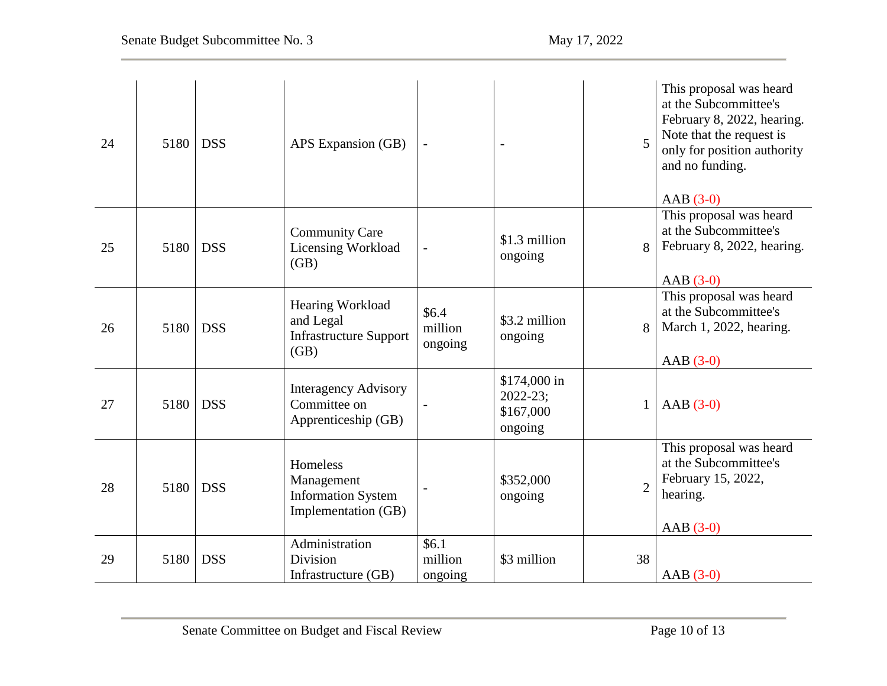| 24 | 5180 | <b>DSS</b> | APS Expansion (GB)                                                         |                               |                                                       | 5              | This proposal was heard<br>at the Subcommittee's<br>February 8, 2022, hearing.<br>Note that the request is<br>only for position authority<br>and no funding.<br>$AAB(3-0)$ |
|----|------|------------|----------------------------------------------------------------------------|-------------------------------|-------------------------------------------------------|----------------|----------------------------------------------------------------------------------------------------------------------------------------------------------------------------|
| 25 | 5180 | <b>DSS</b> | <b>Community Care</b><br>Licensing Workload<br>(GB)                        | $\overline{\phantom{0}}$      | \$1.3 million<br>ongoing                              | 8              | This proposal was heard<br>at the Subcommittee's<br>February 8, 2022, hearing.<br>$AAB(3-0)$                                                                               |
| 26 | 5180 | <b>DSS</b> | Hearing Workload<br>and Legal<br><b>Infrastructure Support</b><br>(GB)     | \$6.4\$<br>million<br>ongoing | \$3.2 million<br>ongoing                              | 8              | This proposal was heard<br>at the Subcommittee's<br>March 1, 2022, hearing.<br>AAB $(3-0)$                                                                                 |
| 27 | 5180 | <b>DSS</b> | <b>Interagency Advisory</b><br>Committee on<br>Apprenticeship (GB)         |                               | \$174,000 in<br>$2022 - 23$ ;<br>\$167,000<br>ongoing | $\mathbf{1}$   | $AAB(3-0)$                                                                                                                                                                 |
| 28 | 5180 | <b>DSS</b> | Homeless<br>Management<br><b>Information System</b><br>Implementation (GB) |                               | \$352,000<br>ongoing                                  | $\overline{2}$ | This proposal was heard<br>at the Subcommittee's<br>February 15, 2022,<br>hearing.<br>$AAB(3-0)$                                                                           |
| 29 | 5180 | <b>DSS</b> | Administration<br>Division<br>Infrastructure (GB)                          | \$6.1<br>million<br>ongoing   | \$3 million                                           | 38             | $AAB(3-0)$                                                                                                                                                                 |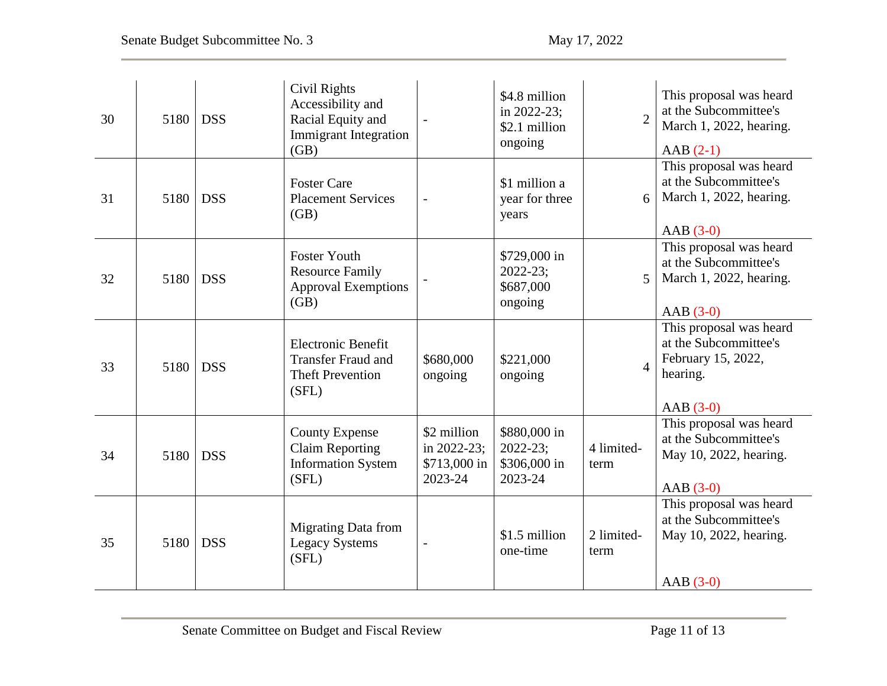| 30 | 5180 | <b>DSS</b> | Civil Rights<br>Accessibility and<br>Racial Equity and<br><b>Immigrant Integration</b><br>(GB) |                                                       | \$4.8 million<br>in $2022 - 23$ ;<br>\$2.1 million<br>ongoing | $\overline{2}$     | This proposal was heard<br>at the Subcommittee's<br>March 1, 2022, hearing.<br>$AAB(2-1)$        |
|----|------|------------|------------------------------------------------------------------------------------------------|-------------------------------------------------------|---------------------------------------------------------------|--------------------|--------------------------------------------------------------------------------------------------|
| 31 | 5180 | <b>DSS</b> | <b>Foster Care</b><br><b>Placement Services</b><br>(GB)                                        | $\overline{\phantom{0}}$                              | \$1 million a<br>year for three<br>years                      | 6                  | This proposal was heard<br>at the Subcommittee's<br>March 1, 2022, hearing.<br>$AAB(3-0)$        |
| 32 | 5180 | <b>DSS</b> | <b>Foster Youth</b><br><b>Resource Family</b><br><b>Approval Exemptions</b><br>(GB)            |                                                       | \$729,000 in<br>$2022 - 23;$<br>\$687,000<br>ongoing          | 5                  | This proposal was heard<br>at the Subcommittee's<br>March 1, 2022, hearing.<br>AAB $(3-0)$       |
| 33 | 5180 | <b>DSS</b> | <b>Electronic Benefit</b><br><b>Transfer Fraud and</b><br><b>Theft Prevention</b><br>(SFL)     | \$680,000<br>ongoing                                  | \$221,000<br>ongoing                                          | $\overline{A}$     | This proposal was heard<br>at the Subcommittee's<br>February 15, 2022,<br>hearing.<br>$AAB(3-0)$ |
| 34 | 5180 | <b>DSS</b> | <b>County Expense</b><br><b>Claim Reporting</b><br><b>Information System</b><br>(SFL)          | \$2 million<br>in 2022-23;<br>\$713,000 in<br>2023-24 | \$880,000 in<br>2022-23;<br>\$306,000 in<br>2023-24           | 4 limited-<br>term | This proposal was heard<br>at the Subcommittee's<br>May 10, 2022, hearing.<br>$AAB(3-0)$         |
| 35 | 5180 | <b>DSS</b> | <b>Migrating Data from</b><br><b>Legacy Systems</b><br>(SFL)                                   | $\overline{\phantom{a}}$                              | \$1.5 million<br>one-time                                     | 2 limited-<br>term | This proposal was heard<br>at the Subcommittee's<br>May 10, 2022, hearing.<br>$AAB(3-0)$         |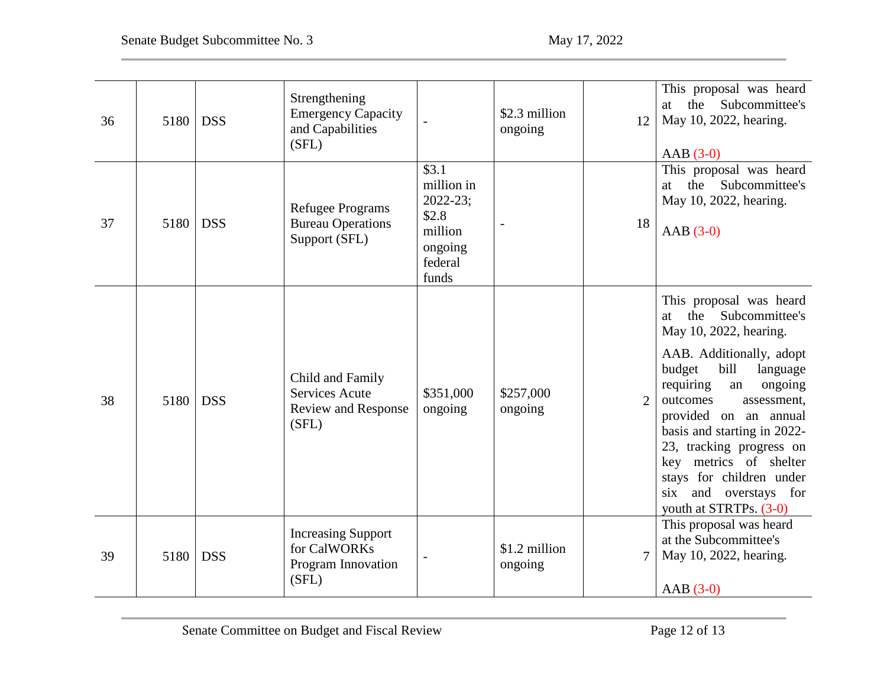| 36 | 5180 | <b>DSS</b> | Strengthening<br><b>Emergency Capacity</b><br>and Capabilities<br>(SFL)          |                                                                                                     | \$2.3 million<br>ongoing | 12             | This proposal was heard<br>the Subcommittee's<br>at<br>May 10, 2022, hearing.<br>$AAB(3-0)$                                                                                                                                                                                                                                                                                                   |
|----|------|------------|----------------------------------------------------------------------------------|-----------------------------------------------------------------------------------------------------|--------------------------|----------------|-----------------------------------------------------------------------------------------------------------------------------------------------------------------------------------------------------------------------------------------------------------------------------------------------------------------------------------------------------------------------------------------------|
| 37 | 5180 | <b>DSS</b> | <b>Refugee Programs</b><br><b>Bureau Operations</b><br>Support (SFL)             | $\overline{$3.1}$<br>million in<br>$2022 - 23$ ;<br>\$2.8<br>million<br>ongoing<br>federal<br>funds |                          | 18             | This proposal was heard<br>the Subcommittee's<br>at<br>May 10, 2022, hearing.<br>$AAB(3-0)$                                                                                                                                                                                                                                                                                                   |
| 38 | 5180 | <b>DSS</b> | Child and Family<br><b>Services Acute</b><br><b>Review and Response</b><br>(SFL) | \$351,000<br>ongoing                                                                                | \$257,000<br>ongoing     | $\overline{2}$ | This proposal was heard<br>the Subcommittee's<br>at<br>May 10, 2022, hearing.<br>AAB. Additionally, adopt<br>budget<br>bill<br>language<br>requiring<br>ongoing<br>an<br>outcomes<br>assessment,<br>provided on an annual<br>basis and starting in 2022-<br>23, tracking progress on<br>key metrics of shelter<br>stays for children under<br>six and overstays for<br>youth at STRTPs. (3-0) |
| 39 | 5180 | <b>DSS</b> | <b>Increasing Support</b><br>for CalWORKs<br>Program Innovation<br>(SFL)         |                                                                                                     | \$1.2 million<br>ongoing | 7              | This proposal was heard<br>at the Subcommittee's<br>May 10, 2022, hearing.<br>$AAB(3-0)$                                                                                                                                                                                                                                                                                                      |